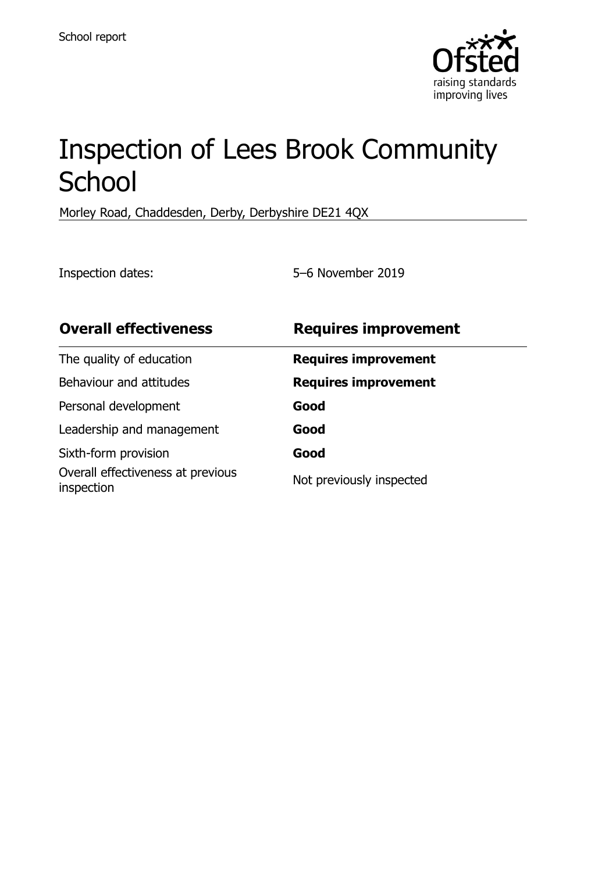

# Inspection of Lees Brook Community **School**

Morley Road, Chaddesden, Derby, Derbyshire DE21 4QX

Inspection dates: 5–6 November 2019

| <b>Overall effectiveness</b>                    | <b>Requires improvement</b> |
|-------------------------------------------------|-----------------------------|
| The quality of education                        | <b>Requires improvement</b> |
| Behaviour and attitudes                         | <b>Requires improvement</b> |
| Personal development                            | Good                        |
| Leadership and management                       | Good                        |
| Sixth-form provision                            | Good                        |
| Overall effectiveness at previous<br>inspection | Not previously inspected    |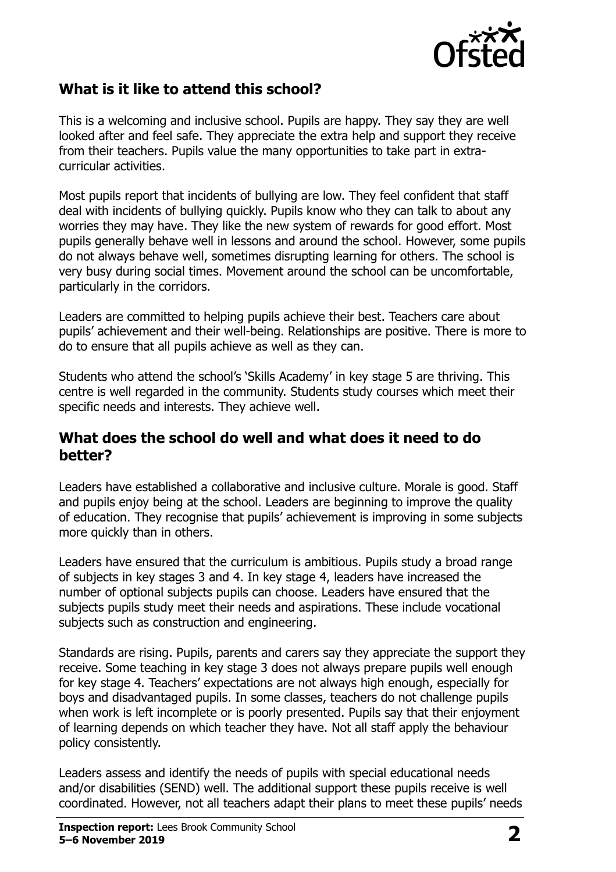

### **What is it like to attend this school?**

This is a welcoming and inclusive school. Pupils are happy. They say they are well looked after and feel safe. They appreciate the extra help and support they receive from their teachers. Pupils value the many opportunities to take part in extracurricular activities.

Most pupils report that incidents of bullying are low. They feel confident that staff deal with incidents of bullying quickly. Pupils know who they can talk to about any worries they may have. They like the new system of rewards for good effort. Most pupils generally behave well in lessons and around the school. However, some pupils do not always behave well, sometimes disrupting learning for others. The school is very busy during social times. Movement around the school can be uncomfortable, particularly in the corridors.

Leaders are committed to helping pupils achieve their best. Teachers care about pupils' achievement and their well-being. Relationships are positive. There is more to do to ensure that all pupils achieve as well as they can.

Students who attend the school's 'Skills Academy' in key stage 5 are thriving. This centre is well regarded in the community. Students study courses which meet their specific needs and interests. They achieve well.

#### **What does the school do well and what does it need to do better?**

Leaders have established a collaborative and inclusive culture. Morale is good. Staff and pupils enjoy being at the school. Leaders are beginning to improve the quality of education. They recognise that pupils' achievement is improving in some subjects more quickly than in others.

Leaders have ensured that the curriculum is ambitious. Pupils study a broad range of subjects in key stages 3 and 4. In key stage 4, leaders have increased the number of optional subjects pupils can choose. Leaders have ensured that the subjects pupils study meet their needs and aspirations. These include vocational subjects such as construction and engineering.

Standards are rising. Pupils, parents and carers say they appreciate the support they receive. Some teaching in key stage 3 does not always prepare pupils well enough for key stage 4. Teachers' expectations are not always high enough, especially for boys and disadvantaged pupils. In some classes, teachers do not challenge pupils when work is left incomplete or is poorly presented. Pupils say that their enjoyment of learning depends on which teacher they have. Not all staff apply the behaviour policy consistently.

Leaders assess and identify the needs of pupils with special educational needs and/or disabilities (SEND) well. The additional support these pupils receive is well coordinated. However, not all teachers adapt their plans to meet these pupils' needs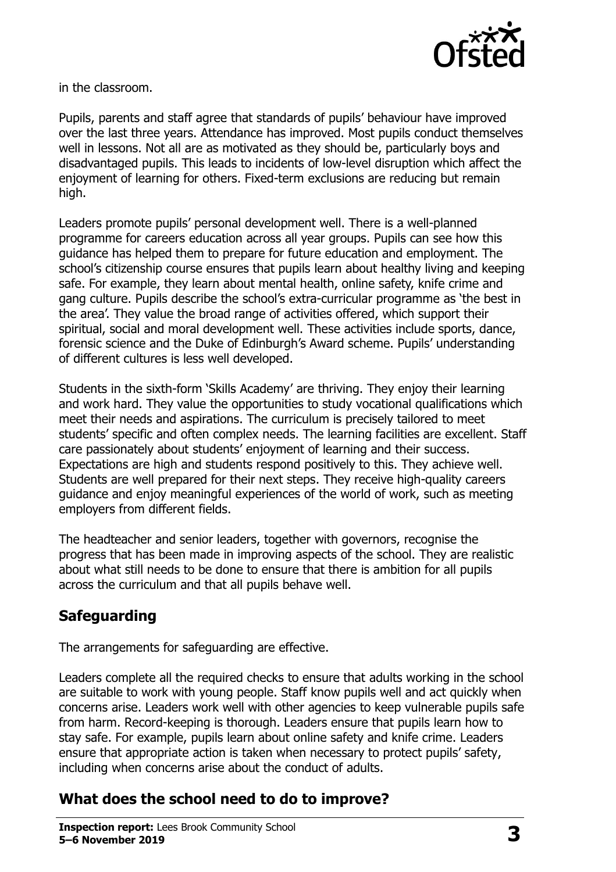

in the classroom.

Pupils, parents and staff agree that standards of pupils' behaviour have improved over the last three years. Attendance has improved. Most pupils conduct themselves well in lessons. Not all are as motivated as they should be, particularly boys and disadvantaged pupils. This leads to incidents of low-level disruption which affect the enjoyment of learning for others. Fixed-term exclusions are reducing but remain high.

Leaders promote pupils' personal development well. There is a well-planned programme for careers education across all year groups. Pupils can see how this guidance has helped them to prepare for future education and employment. The school's citizenship course ensures that pupils learn about healthy living and keeping safe. For example, they learn about mental health, online safety, knife crime and gang culture. Pupils describe the school's extra-curricular programme as 'the best in the area'. They value the broad range of activities offered, which support their spiritual, social and moral development well. These activities include sports, dance, forensic science and the Duke of Edinburgh's Award scheme. Pupils' understanding of different cultures is less well developed.

Students in the sixth-form 'Skills Academy' are thriving. They enjoy their learning and work hard. They value the opportunities to study vocational qualifications which meet their needs and aspirations. The curriculum is precisely tailored to meet students' specific and often complex needs. The learning facilities are excellent. Staff care passionately about students' enjoyment of learning and their success. Expectations are high and students respond positively to this. They achieve well. Students are well prepared for their next steps. They receive high-quality careers guidance and enjoy meaningful experiences of the world of work, such as meeting employers from different fields.

The headteacher and senior leaders, together with governors, recognise the progress that has been made in improving aspects of the school. They are realistic about what still needs to be done to ensure that there is ambition for all pupils across the curriculum and that all pupils behave well.

# **Safeguarding**

The arrangements for safeguarding are effective.

Leaders complete all the required checks to ensure that adults working in the school are suitable to work with young people. Staff know pupils well and act quickly when concerns arise. Leaders work well with other agencies to keep vulnerable pupils safe from harm. Record-keeping is thorough. Leaders ensure that pupils learn how to stay safe. For example, pupils learn about online safety and knife crime. Leaders ensure that appropriate action is taken when necessary to protect pupils' safety, including when concerns arise about the conduct of adults.

# **What does the school need to do to improve?**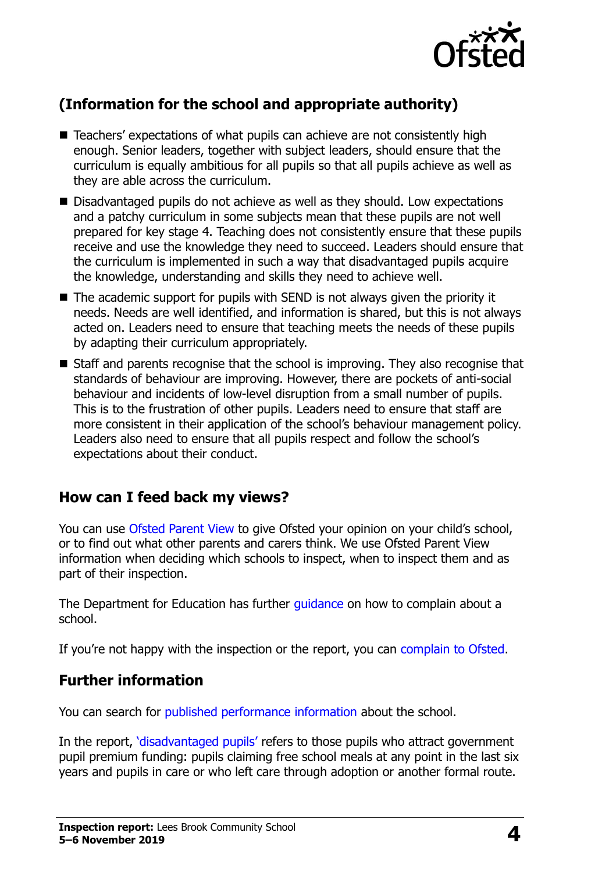

# **(Information for the school and appropriate authority)**

- Teachers' expectations of what pupils can achieve are not consistently high enough. Senior leaders, together with subject leaders, should ensure that the curriculum is equally ambitious for all pupils so that all pupils achieve as well as they are able across the curriculum.
- Disadvantaged pupils do not achieve as well as they should. Low expectations and a patchy curriculum in some subjects mean that these pupils are not well prepared for key stage 4. Teaching does not consistently ensure that these pupils receive and use the knowledge they need to succeed. Leaders should ensure that the curriculum is implemented in such a way that disadvantaged pupils acquire the knowledge, understanding and skills they need to achieve well.
- $\blacksquare$  The academic support for pupils with SEND is not always given the priority it needs. Needs are well identified, and information is shared, but this is not always acted on. Leaders need to ensure that teaching meets the needs of these pupils by adapting their curriculum appropriately.
- Staff and parents recognise that the school is improving. They also recognise that standards of behaviour are improving. However, there are pockets of anti-social behaviour and incidents of low-level disruption from a small number of pupils. This is to the frustration of other pupils. Leaders need to ensure that staff are more consistent in their application of the school's behaviour management policy. Leaders also need to ensure that all pupils respect and follow the school's expectations about their conduct.

# **How can I feed back my views?**

You can use [Ofsted Parent View](http://parentview.ofsted.gov.uk/) to give Ofsted your opinion on your child's school, or to find out what other parents and carers think. We use Ofsted Parent View information when deciding which schools to inspect, when to inspect them and as part of their inspection.

The Department for Education has further quidance on how to complain about a school.

If you're not happy with the inspection or the report, you can [complain to Ofsted.](http://www.gov.uk/complain-ofsted-report)

# **Further information**

You can search for [published performance information](http://www.compare-school-performance.service.gov.uk/) about the school.

In the report, '[disadvantaged pupils](http://www.gov.uk/guidance/pupil-premium-information-for-schools-and-alternative-provision-settings)' refers to those pupils who attract government pupil premium funding: pupils claiming free school meals at any point in the last six years and pupils in care or who left care through adoption or another formal route.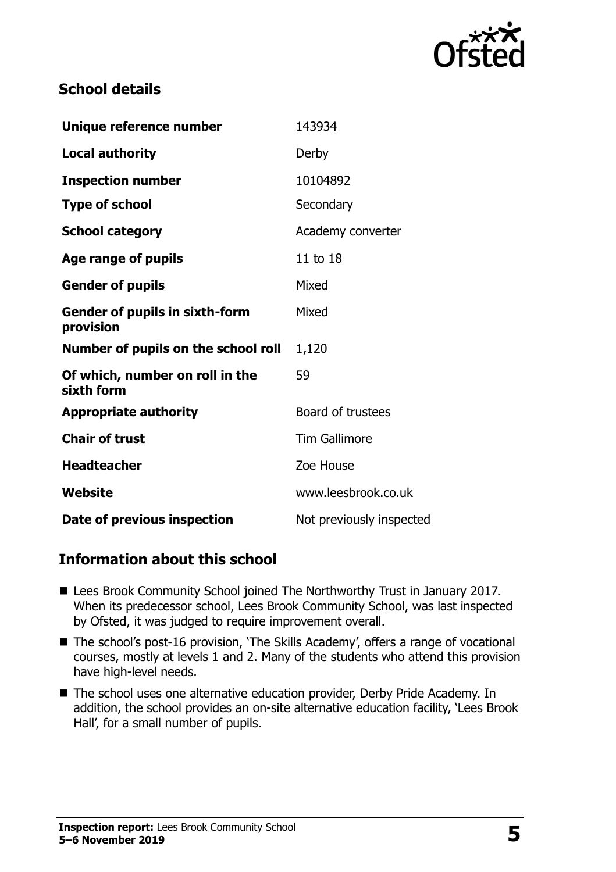

### **School details**

| Unique reference number                            | 143934                   |
|----------------------------------------------------|--------------------------|
| <b>Local authority</b>                             | Derby                    |
| <b>Inspection number</b>                           | 10104892                 |
| <b>Type of school</b>                              | Secondary                |
| <b>School category</b>                             | Academy converter        |
| <b>Age range of pupils</b>                         | 11 to 18                 |
| <b>Gender of pupils</b>                            | Mixed                    |
| <b>Gender of pupils in sixth-form</b><br>provision | Mixed                    |
| Number of pupils on the school roll                | 1,120                    |
| Of which, number on roll in the<br>sixth form      | 59                       |
| <b>Appropriate authority</b>                       | Board of trustees        |
| <b>Chair of trust</b>                              | <b>Tim Gallimore</b>     |
| <b>Headteacher</b>                                 | Zoe House                |
| Website                                            | www.leesbrook.co.uk      |
| Date of previous inspection                        | Not previously inspected |

#### **Information about this school**

- Lees Brook Community School joined The Northworthy Trust in January 2017. When its predecessor school, Lees Brook Community School, was last inspected by Ofsted, it was judged to require improvement overall.
- The school's post-16 provision, 'The Skills Academy', offers a range of vocational courses, mostly at levels 1 and 2. Many of the students who attend this provision have high-level needs.
- The school uses one alternative education provider, Derby Pride Academy. In addition, the school provides an on-site alternative education facility, 'Lees Brook Hall', for a small number of pupils.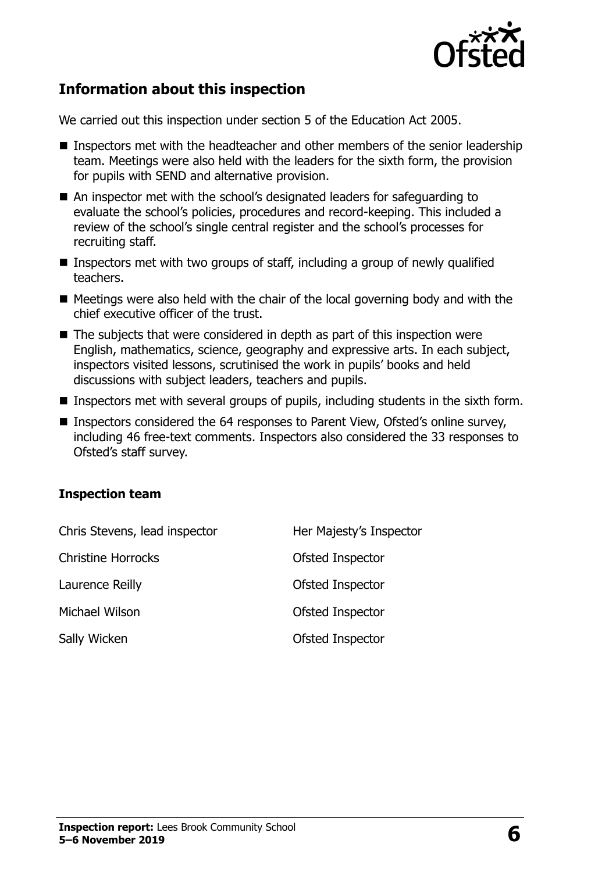

### **Information about this inspection**

We carried out this inspection under section 5 of the Education Act 2005.

- Inspectors met with the headteacher and other members of the senior leadership team. Meetings were also held with the leaders for the sixth form, the provision for pupils with SEND and alternative provision.
- An inspector met with the school's designated leaders for safeguarding to evaluate the school's policies, procedures and record-keeping. This included a review of the school's single central register and the school's processes for recruiting staff.
- **Inspectors met with two groups of staff, including a group of newly qualified** teachers.
- $\blacksquare$  Meetings were also held with the chair of the local governing body and with the chief executive officer of the trust.
- $\blacksquare$  The subjects that were considered in depth as part of this inspection were English, mathematics, science, geography and expressive arts. In each subject, inspectors visited lessons, scrutinised the work in pupils' books and held discussions with subject leaders, teachers and pupils.
- **Inspectors met with several groups of pupils, including students in the sixth form.**
- Inspectors considered the 64 responses to Parent View, Ofsted's online survey, including 46 free-text comments. Inspectors also considered the 33 responses to Ofsted's staff survey.

#### **Inspection team**

| Chris Stevens, lead inspector | Her Majesty's Inspector |
|-------------------------------|-------------------------|
| <b>Christine Horrocks</b>     | Ofsted Inspector        |
| Laurence Reilly               | Ofsted Inspector        |
| Michael Wilson                | Ofsted Inspector        |
| Sally Wicken                  | Ofsted Inspector        |